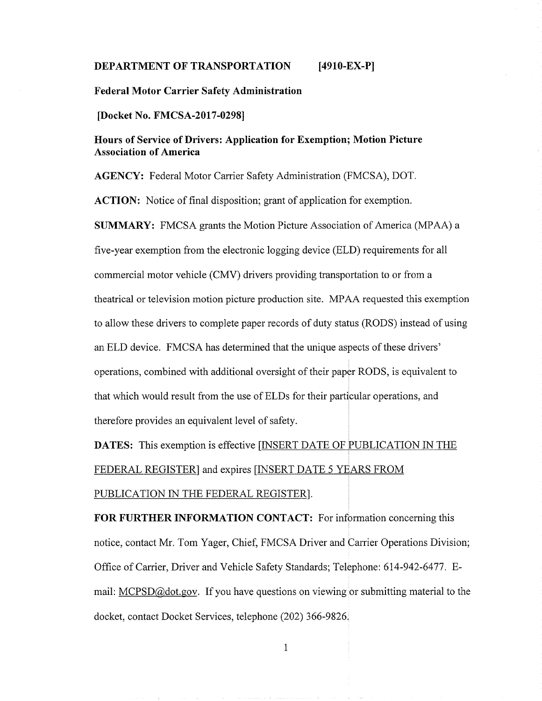#### **DEPARTMENT OF TRANSPORTATION [4910-EX-P]**

#### **Federal Motor Carrier Safety Administration**

**[Docket No. FMCSA-2017-02981**

# **Hours of Service of Drivers: Application for Exemption; Motion Picture Association of America**

**AGENCY: Federal Motor Carrier Safety Administration** (FMCSA), DOT.

**ACTION:** Notice of final disposition; grant of application for exemption.

**SUMMARY:** FMCSA grants the Motion Picture Association of America (MPAA) a five-year exemption from the electronic logging device (ELD) requirements for all commercial motor vehicle (CMV) drivers providing transportation to or from a theatrical or television motion picture production site. MPAA requested this exemption to allow these drivers to complete paper records of duty status (RODS) instead of using an ELD device. FMCSA has determined that the unique aspects of these drivers' operations, combined with additional oversight of their paper RODS, is equivalent to that which would result from the use of ELDs for their particular operations, and therefore provides an equivalent level of safety.

**DATES:** This exemption is effective [INSERT DATE OF PUBLICATION IN THE FEDERAL REGISTER] and expires [INSERT DATE <sup>5</sup> YEARS FROM PUBLICATION IN THE FEDERAL REGISTER].

**FOR FURTHER INFORMATION CONTACT:** For information concerning this notice, contact Mr. Tom Yager, Chief, FMCSA Driver and Carrier Operations Division; Office of Carrier, Driver and Vehicle Safety Standards; Telephone: 614-942-6477. Email: MCPSD@dot.gov. If you have questions on viewing or submitting material to the docket, contact Docket Services, telephone (202) 366-9826.

 $\mathbf{1}$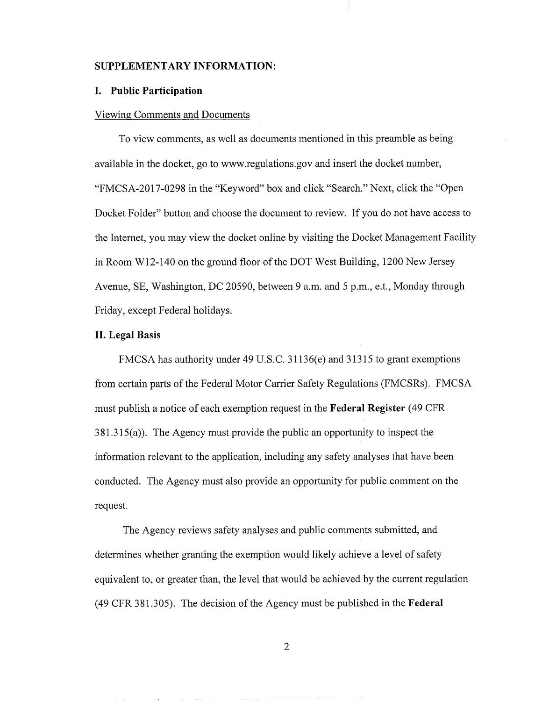#### **SUPPLEMENTARY INFORMATION:**

### **I. Public Participation**

#### Viewing Comments and Documents

To view comments, as well as documents mentioned in this preamble as being available in the docket, go to www.regulations.gov and insert the docket number, "FMCSA-2017-0298 in the "Keyword" box and click "Search." Next, click the "Open Docket Folder" button and choose the document to review. If you do not have access to the Internet, you may view the docket online by visiting the Docket Management Facility in Room W12-140 on the ground floor of the DOT West Building, 1200 New Jersey Avenue, SE, Washington, DC *20590,* between 9 a.m. and *5* p.m., e.t., Monday through Friday, except Federal holidays.

#### **II. Legal Basis**

FMCSA has authority under 49 U.S.C. 31136(e) and 31315 to grant exemptions from certain parts of the Federal Motor Carrier Safety Regulations (FMCSRs). FMCSA must publish a notice of each exemption request in the **Federal Register** *(49* CFR 381.315(a)). The Agency must provide the public an opportunity to inspect the information relevant to the application, including any safety analyses that have been conducted. The Agency must also provide an opportunity for public comment on the request.

The Agency reviews safety analyses and public comments submitted, and determines whether granting the exemption would likely achieve a level of safety equivalent to, or greater than, the level that would be achieved by the current regulation (49 CFR 381.305). The decision of the Agency must be published in the **Federal**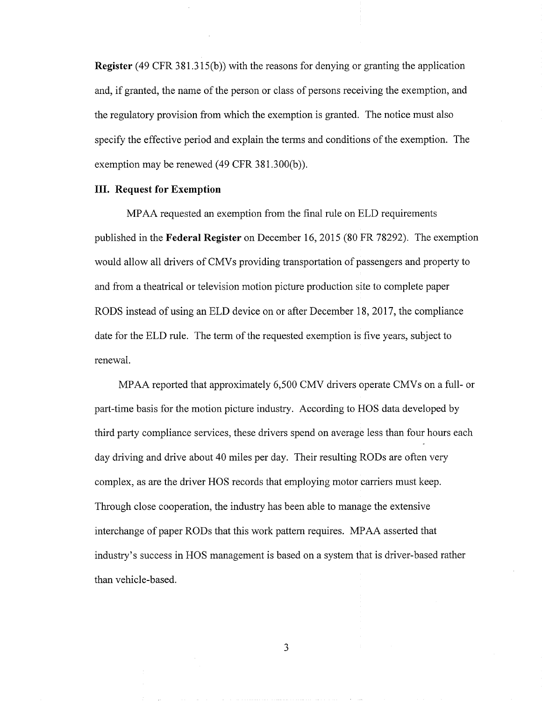Register (49 CFR 381.315(b)) with the reasons for denying or granting the application and, if granted, the name of the person or class of persons receiving the exemption, and the regulatory provision from which the exemption is granted. The notice must also specify the effective period and explain the terms and conditions of the exemption. The exemption may be renewed (49 CFR 381.300(b)).

### **III. Request for Exemption**

MPAA requested an exemption from the final rule on ELD requirements published in the **Federal Register** on December 16, 2015 (80 FR 78292). The exemption would allow all drivers of CMVs providing transportation of passengers and property to and from a theatrical or television motion picture production site to complete paper RODS instead of using an ELD device on or after December 18, 2017, the compliance date for the ELD rule. The term of the requested exemption is five years, subject to renewal.

MPAA reported that approximately 6,500 CMV drivers operate CMVs on a full- or part-time basis for the motion picture industry. According to HOS data developed by third party compliance services, these drivers spend on average less than four hours each day driving and drive about 40 miles per day. Their resulting RODs are often very complex, as are the driver HOS records that employing motor carriers must keep. Through close cooperation, the industry has been able to manage the extensive interchange of paper RODs that this work pattern requires. MPAA asserted that industry's success in HOS management is based on a system that is driver-based rather than vehicle-based.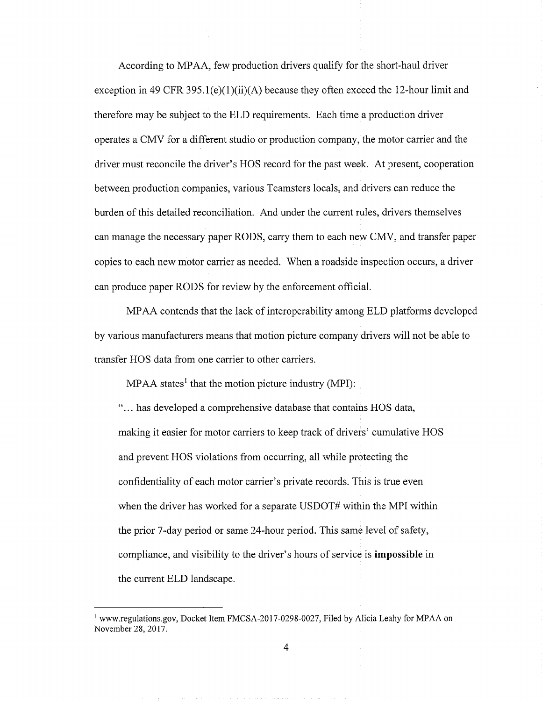According to MPAA, few production drivers qualify for the short-haul driver exception in 49 CFR 395.1(e)(1)(ii)(A) because they often exceed the 12-hour limit and therefore may be subject to the ELD requirements. Each time a production driver operates a CMV for a different studio or production company, the motor carrier and the driver must reconcile the driver's HOS record for the past week. At present, cooperation between production companies, various Teamsters locals, and drivers can reduce the burden of this detailed reconciliation. And under the current rules, drivers themselves can manage the necessary paper RODS, carry them to each new CMV, and transfer paper copies to each new motor carrier as needed. When a roadside inspection occurs, a driver can produce paper RODS for review by the enforcement official.

MPAA contends that the lack of interoperability among ELD platforms developed by various manufacturers means that motion picture company drivers will not be able to transfer HOS data from one carrier to other carriers.

MPAA states' that the motion picture industry (MPI):

"... has developed a comprehensive database that contains HOS data, making it easier for motor carriers to keep track of drivers' cumulative HOS and prevent HOS violations from occurring, all while protecting the confidentiality of each motor carrier's private records. This is true even when the driver has worked for a separate USDOT# within the MPI within the prior 7-day period or same 24-hour period. This same level of safety, compliance, and visibility to the driver's hours of service is **impossible in** the current ELD landscape.

 $\overline{4}$ 

<sup>&</sup>lt;sup>1</sup> www.regulations.gov, Docket Item FMCSA-2017-0298-0027, Filed by Alicia Leahy for MPAA on November 28, 2017.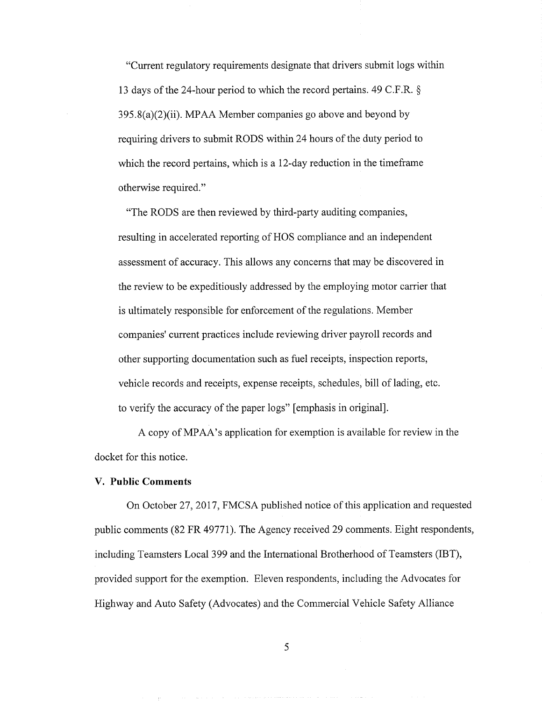"Current regulatory requirements designate that drivers submit logs within 13 days of the 24-hour period to which the record pertains. 49 C.F.R.  $\S$ 395.8(a)(2)(ii). MPAA Member companies go above and beyond by requiring drivers to submit RODS within 24 hours of the duty period to which the record pertains, which is a 12-day reduction in the timeframe otherwise required."

"The RODS are then reviewed by third-party auditing companies, resulting in accelerated reporting of HOS compliance and an independent assessment of accuracy. This allows any concerns that may be discovered in the review to be expeditiously addressed by the employing motor carrier that is ultimately responsible for enforcement of the regulations. Member companies' current practices include reviewing driver payroll records and other supporting documentation such as fuel receipts, inspection reports, vehicle records and receipts, expense receipts, schedules, bill of lading, etc. to verify the accuracy of the paper logs" [emphasis in original].

A copy of MPAA's application for exemption is available for review in the docket for this notice.

### **V. Public Comments**

On October 27, 2017, FMCSA published notice ofthis application and requested public comments (82 FR 49771). The Agency received 29 comments. Eight respondents, including Teamsters Local 399 and the International Brotherhood of Teamsters (IBT), provided support for the exemption. Eleven respondents, including the Advocates for Highway and Auto Safety (Advocates) and the Commercial Vehicle Safety Alliance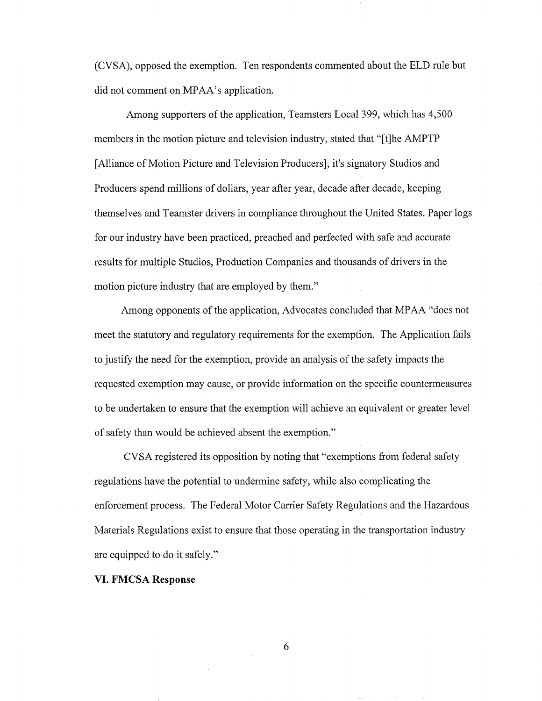(CVSA), opposed the exemption. Ten respondents commented about the ELD rule but did not comment on MPAA's application.

Among supporters of the application, Teamsters Local 399, which has 4,500 members in the motion picture and television industry, stated that "[t]he AMPTP [Alliance of Motion Picture and Television Producers], it's signatory Studios and Producers spend millions of dollars, year after year, decade after decade, keeping themselves and Teamster drivers in compliance throughout the United States. Paper logs for our industry have been practiced, preached and perfected with safe and accurate results for multiple Studios, Production Companies and thousands of drivers in the motion picture industry that are employed by them."

Among opponents of the application, Advocates concluded that MPAA "does not meet the statutory and regulatory requirements for the exemption. The Application fails to justify the need for the exemption, provide an analysis of the safety impacts the requested exemption may cause, or provide information on the specific countermeasures to be undertaken to ensure that the exemption will achieve an equivalent or greater level of safety than would be achieved absent the exemption."

CVSA registered its opposition by noting that "exemptions from federal safety regulations have the potential to undermine safety, while also complicating the enforcement process. The Federal Motor Carrier Safety Regulations and the Hazardous Materials Regulations exist to ensure that those operating in the transportation industry are equipped to do it safely."

### **VI. FMCSA Response**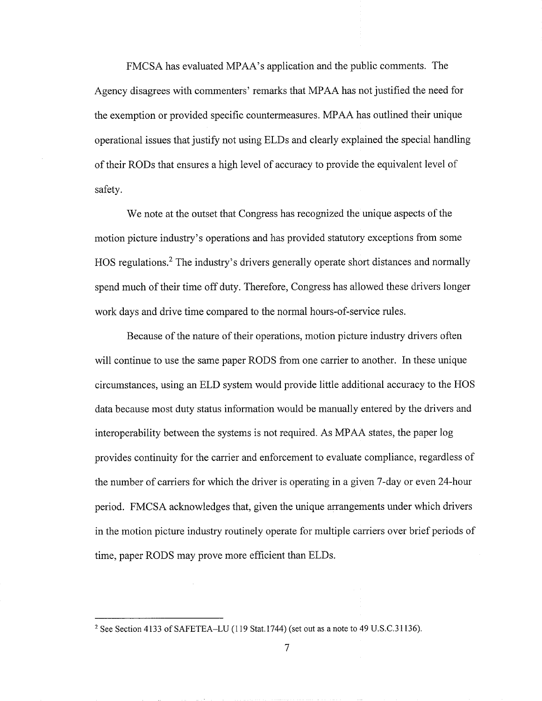FMCSA has evaluated MPAA's application and the public comments. The Agency disagrees with commenters' remarks that MPAA has not justified the need for the exemption or provided specific countermeasures. MPAA has outlined their unique operational issues that justify not using ELDs and clearly explained the special handling oftheir RODs that ensures a high level of accuracy to provide the equivalent level of safety.

We note at the outset that Congress has recognized the unique aspects of the motion picture industry's operations and has provided statutory exceptions from some HOS regulations.2 The industry's drivers generally operate short distances and normally spend much of their time off duty. Therefore, Congress has allowed these drivers longer work days and drive time compared to the normal hours-of-service rules.

Because of the nature of their operations, motion picture industry drivers often will continue to use the same paper RODS from one carrier to another. In these unique circumstances, using an ELD system would provide little additional accuracy to the HOS data because most duty status information would be manually entered by the drivers and interoperability between the systems is not required. As MPAA states, the paper log provides continuity for the carrier and enforcement to evaluate compliance, regardless of the number of carriers for which the driver is operating in a given 7-day or even 24-hour period. FMCSA acknowledges that, given the unique arrangements under which drivers in the motion picture industry routinely operate for multiple carriers over brief periods of time, paper RODS may prove more efficient than ELDs.

**<sup>2</sup>** See Section 4133 of SAFETEA-LU (119 Stat. 1744) (set out as a note to 49 U.S.C.3 1136).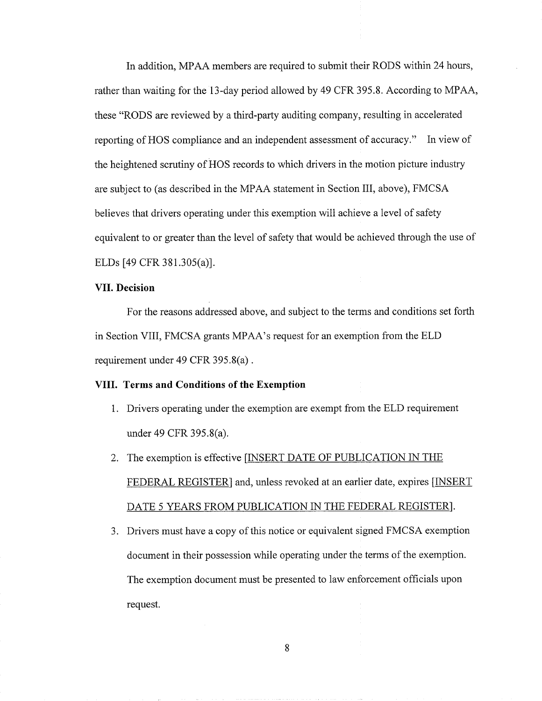In addition, MPAA members are required to submit their RODS within 24 hours, rather than waiting for the 13 -day period allowed by 49 CFR 395.8. According to MPAA, these "RODS are reviewed by a third-party auditing company, resulting in accelerated reporting of HOS compliance and an independent assessment of accuracy." In view of the heightened scrutiny of HOS records to which drivers in the motion picture industry are subject to (as described in the MPAA statement in Section III, above), FMCSA believes that drivers operating under this exemption will achieve a level of safety equivalent to or greater than the level of safety that would be achieved through the use of ELDs [49 CFR381.305(a)].

### **VII. Decision**

For the reasons addressed above, and subject to the terms and conditions set forth in Section VIII, FMCSA grants MPAA's request for an exemption from the ELD requirement under 49 CFR *395.8(a).*

### **VIII. Terms and Conditions of the Exemption**

- 1. Drivers operating under the exemption are exempt from the ELD requirement under 49 CFR 395.8(a).
- 2. The exemption is effective [INSERT DATE OF PUBLICATION IN THE FEDERAL REGISTER] and, unless revoked at an earlier date, expires [INSERT DATE 5 YEARS FROM PUBLICATION IN THE FEDERAL REGISTER].
- 3. Drivers must have a copy of this notice or equivalent signed FMCSA exemption document in their possession while operating under the terms of the exemption. The exemption document must be presented to law enforcement officials upon request.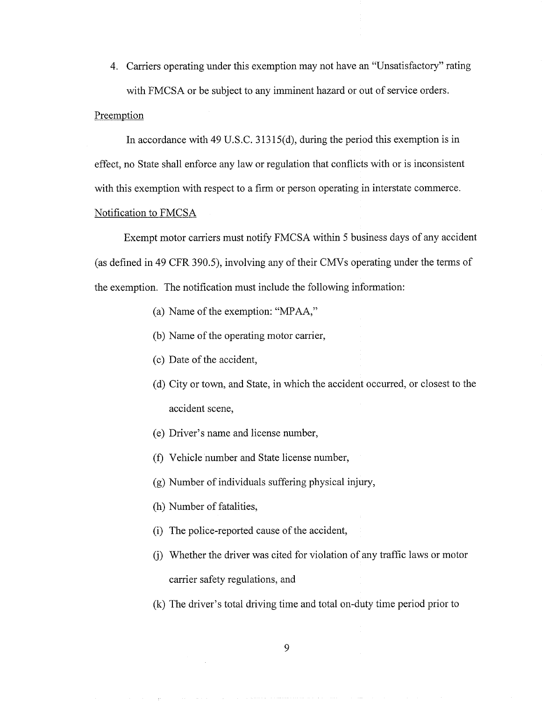4. Carriers operating under this exemption may not have an "Unsatisfactory" rating with FMCSA or be subject to any imminent hazard or out of service orders.

## Preemption

In accordance with 49 U.S.C. *31315(d),* during the period this exemption is in effect, no State shall enforce any law or regulation that conflicts with or is inconsistent with this exemption with respect to a firm or person operating in interstate commerce. Notification to FMCSA

Exempt motor carriers must notify FMCSA within *<sup>5</sup>* business days of any accident (as defined in 49 CFR 390.5), involving any of their CMVs operating under the terms of the exemption. The notification must include the following information:

- (a) Name of the exemption: " $MPAA$ ,"
- (b) Name of the operating motor carrier,
- (c) Date of the accident,
- (d) City or town, and State, in which the accident occurred, or closest to the accident scene,
- (e) Driver's name and license number,
- (f) Vehicle number and State license number,
- (g) Number of individuals suffering physical injury,
- (h) Number of fatalities,
- (i) The police-reported cause of the accident,
- (j) Whether the driver was cited for violation of any traffic laws or motor carrier safety regulations, and
- (k) The driver's total driving time and total on-duty time period prior to